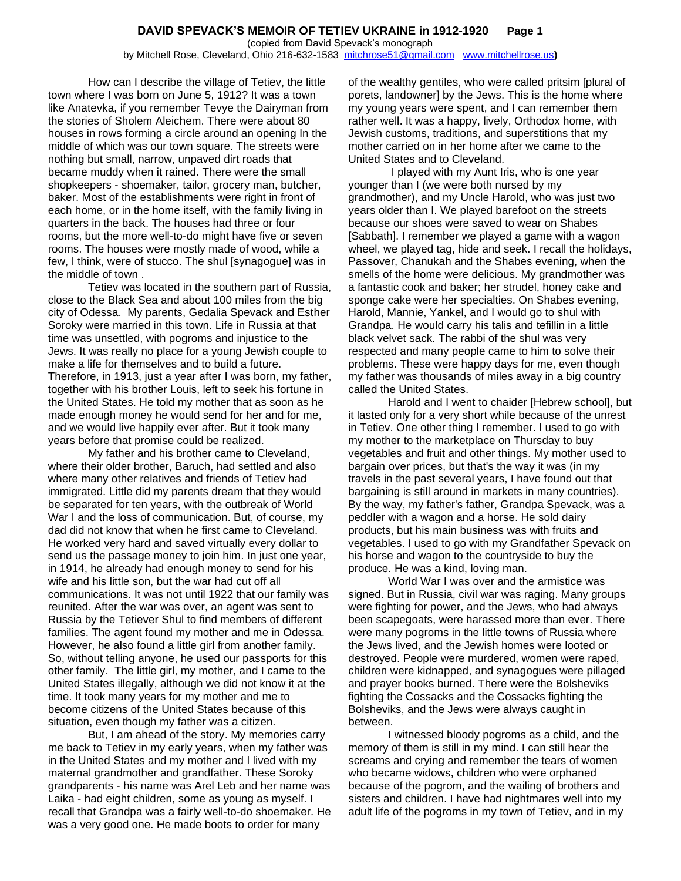How can I describe the village of Tetiev, the little town where I was born on June 5, 1912? It was a town like Anatevka, if you remember Tevye the Dairyman from the stories of Sholem Aleichem. There were about 80 houses in rows forming a circle around an opening In the middle of which was our town square. The streets were nothing but small, narrow, unpaved dirt roads that became muddy when it rained. There were the small shopkeepers - shoemaker, tailor, grocery man, butcher, baker. Most of the establishments were right in front of each home, or in the home itself, with the family living in quarters in the back. The houses had three or four rooms, but the more well-to-do might have five or seven rooms. The houses were mostly made of wood, while a few, I think, were of stucco. The shul [synagogue] was in the middle of town .

Tetiev was located in the southern part of Russia, close to the Black Sea and about 100 miles from the big city of Odessa. My parents, Gedalia Spevack and Esther Soroky were married in this town. Life in Russia at that time was unsettled, with pogroms and injustice to the Jews. It was really no place for a young Jewish couple to make a life for themselves and to build a future. Therefore, in 1913, just a year after I was born, my father, together with his brother Louis, left to seek his fortune in the United States. He told my mother that as soon as he made enough money he would send for her and for me, and we would live happily ever after. But it took many years before that promise could be realized.

My father and his brother came to Cleveland, where their older brother, Baruch, had settled and also where many other relatives and friends of Tetiev had immigrated. Little did my parents dream that they would be separated for ten years, with the outbreak of World War I and the loss of communication. But, of course, my dad did not know that when he first came to Cleveland. He worked very hard and saved virtually every dollar to send us the passage money to join him. In just one year, in 1914, he already had enough money to send for his wife and his little son, but the war had cut off all communications. It was not until 1922 that our family was reunited. After the war was over, an agent was sent to Russia by the Tetiever Shul to find members of different families. The agent found my mother and me in Odessa. However, he also found a little girl from another family. So, without telling anyone, he used our passports for this other family. The little girl, my mother, and I came to the United States illegally, although we did not know it at the time. It took many years for my mother and me to become citizens of the United States because of this situation, even though my father was a citizen.

But, I am ahead of the story. My memories carry me back to Tetiev in my early years, when my father was in the United States and my mother and I lived with my maternal grandmother and grandfather. These Soroky grandparents - his name was Arel Leb and her name was Laika - had eight children, some as young as myself. I recall that Grandpa was a fairly well-to-do shoemaker. He was a very good one. He made boots to order for many

of the wealthy gentiles, who were called pritsim [plural of porets, landowner] by the Jews. This is the home where my young years were spent, and I can remember them rather well. It was a happy, lively, Orthodox home, with Jewish customs, traditions, and superstitions that my mother carried on in her home after we came to the United States and to Cleveland.

I played with my Aunt Iris, who is one year younger than I (we were both nursed by my grandmother), and my Uncle Harold, who was just two years older than I. We played barefoot on the streets because our shoes were saved to wear on Shabes [Sabbath]. I remember we played a game with a wagon wheel, we played tag, hide and seek. I recall the holidays, Passover, Chanukah and the Shabes evening, when the smells of the home were delicious. My grandmother was a fantastic cook and baker; her strudel, honey cake and sponge cake were her specialties. On Shabes evening, Harold, Mannie, Yankel, and I would go to shul with Grandpa. He would carry his talis and tefillin in a little black velvet sack. The rabbi of the shul was very respected and many people came to him to solve their problems. These were happy days for me, even though my father was thousands of miles away in a big country called the United States.

Harold and I went to chaider [Hebrew school], but it lasted only for a very short while because of the unrest in Tetiev. One other thing I remember. I used to go with my mother to the marketplace on Thursday to buy vegetables and fruit and other things. My mother used to bargain over prices, but that's the way it was (in my travels in the past several years, I have found out that bargaining is still around in markets in many countries). By the way, my father's father, Grandpa Spevack, was a peddler with a wagon and a horse. He sold dairy products, but his main business was with fruits and vegetables. I used to go with my Grandfather Spevack on his horse and wagon to the countryside to buy the produce. He was a kind, loving man.

World War I was over and the armistice was signed. But in Russia, civil war was raging. Many groups were fighting for power, and the Jews, who had always been scapegoats, were harassed more than ever. There were many pogroms in the little towns of Russia where the Jews lived, and the Jewish homes were looted or destroyed. People were murdered, women were raped, children were kidnapped, and synagogues were pillaged and prayer books burned. There were the Bolsheviks fighting the Cossacks and the Cossacks fighting the Bolsheviks, and the Jews were always caught in between.

I witnessed bloody pogroms as a child, and the memory of them is still in my mind. I can still hear the screams and crying and remember the tears of women who became widows, children who were orphaned because of the pogrom, and the wailing of brothers and sisters and children. I have had nightmares well into my adult life of the pogroms in my town of Tetiev, and in my